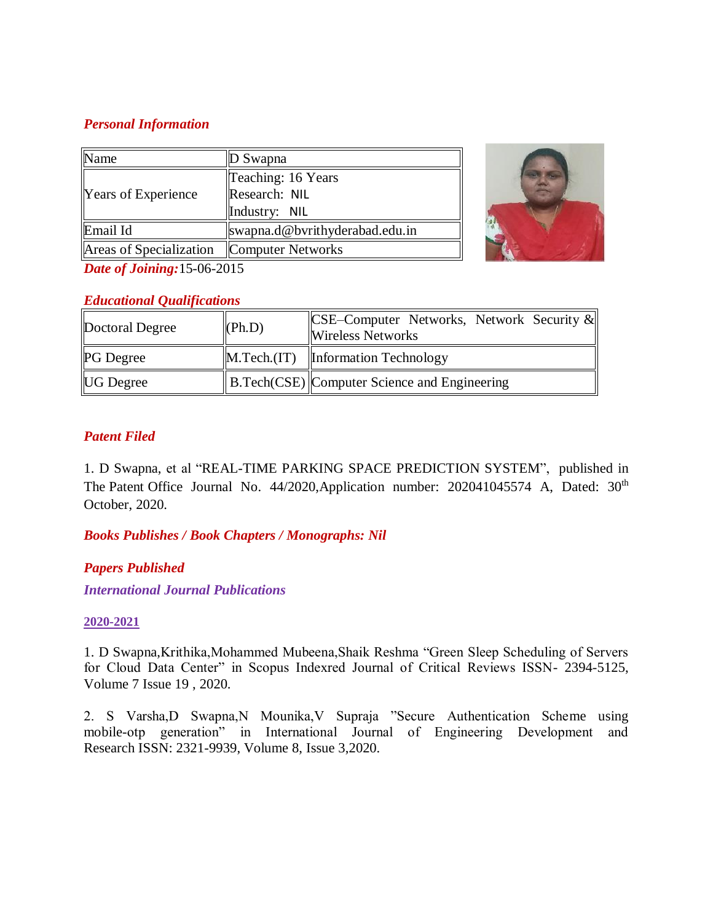## *Personal Information*

| Name                    | $\mathbb{D}$ Swapna            |  |
|-------------------------|--------------------------------|--|
| Years of Experience     | Teaching: 16 Years             |  |
|                         | Research: NIL                  |  |
|                         | Industry: NIL                  |  |
| Email Id                | swapna.d@bvrithyderabad.edu.in |  |
| Areas of Specialization | Computer Networks              |  |



*Date of Joining:*15-06-2015

# *Educational Qualifications*

| Doctoral Degree  | (Ph.D) | <b>CSE–Computer Networks, Network Security &amp;</b><br><b>Wireless Networks</b> |
|------------------|--------|----------------------------------------------------------------------------------|
| <b>PG</b> Degree |        | $\mathbf{M}$ . Tech. (IT) $\mathbf{I}$ Information Technology                    |
| <b>UG</b> Degree |        | B.Tech(CSE) Computer Science and Engineering                                     |

# *Patent Filed*

1. D Swapna, et al "REAL-TIME PARKING SPACE PREDICTION SYSTEM", published in The Patent Office Journal No. 44/2020, Application number: 202041045574 A, Dated: 30<sup>th</sup> October, 2020.

*Books Publishes / Book Chapters / Monographs: Nil*

# *Papers Published*

*International Journal Publications*

### **2020-2021**

1. D Swapna,Krithika,Mohammed Mubeena,Shaik Reshma "Green Sleep Scheduling of Servers for Cloud Data Center" in Scopus Indexred Journal of Critical Reviews ISSN- 2394-5125, Volume 7 Issue 19 , 2020.

2. S Varsha,D Swapna,N Mounika,V Supraja "Secure Authentication Scheme using mobile-otp generation" in International Journal of Engineering Development and Research ISSN: 2321-9939, Volume 8, Issue 3,2020.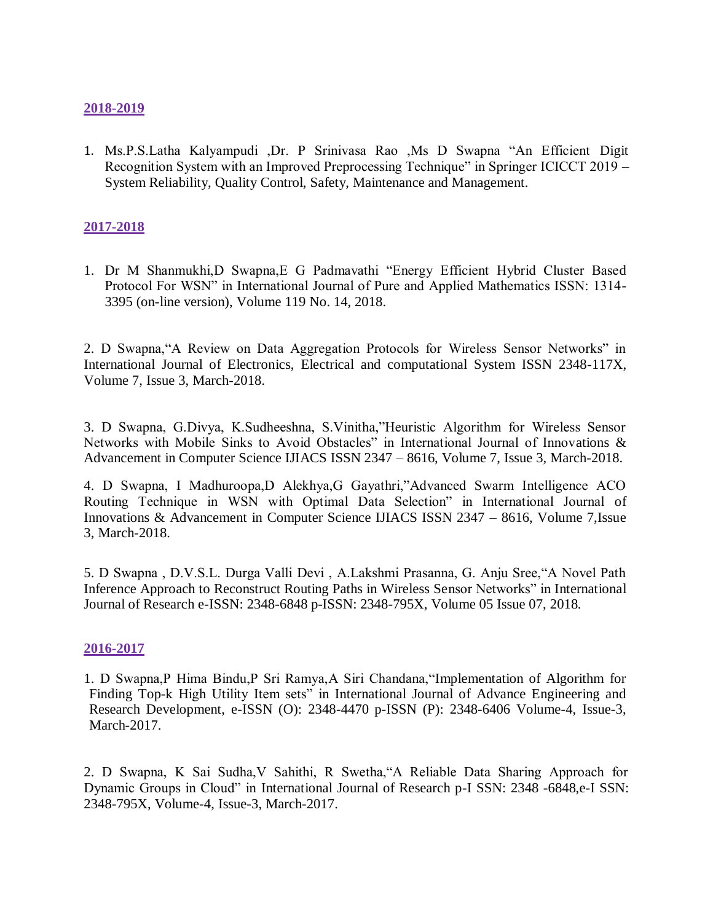### **2018-2019**

1. Ms.P.S.Latha Kalyampudi ,Dr. P Srinivasa Rao ,Ms D Swapna "An Efficient Digit Recognition System with an Improved Preprocessing Technique" in Springer ICICCT 2019 – System Reliability, Quality Control, Safety, Maintenance and Management.

## **2017-2018**

1. Dr M Shanmukhi,D Swapna,E G Padmavathi "Energy Efficient Hybrid Cluster Based Protocol For WSN" in International Journal of Pure and Applied Mathematics ISSN: 1314- 3395 (on-line version), Volume 119 No. 14, 2018.

2. D Swapna,"A Review on Data Aggregation Protocols for Wireless Sensor Networks" in International Journal of Electronics, Electrical and computational System ISSN 2348-117X, Volume 7, Issue 3, March-2018.

3. D Swapna, G.Divya, K.Sudheeshna, S.Vinitha,"Heuristic Algorithm for Wireless Sensor Networks with Mobile Sinks to Avoid Obstacles" in International Journal of Innovations & Advancement in Computer Science IJIACS ISSN 2347 – 8616, Volume 7, Issue 3, March-2018.

4. D Swapna, I Madhuroopa,D Alekhya,G Gayathri,"Advanced Swarm Intelligence ACO Routing Technique in WSN with Optimal Data Selection" in International Journal of Innovations & Advancement in Computer Science IJIACS ISSN 2347 – 8616, Volume 7,Issue 3, March-2018.

5. D Swapna , D.V.S.L. Durga Valli Devi , A.Lakshmi Prasanna, G. Anju Sree,"A Novel Path Inference Approach to Reconstruct Routing Paths in Wireless Sensor Networks" in International Journal of Research e-ISSN: 2348-6848 p-ISSN: 2348-795X, Volume 05 Issue 07, 2018.

### **2016-2017**

1. D Swapna,P Hima Bindu,P Sri Ramya,A Siri Chandana,"Implementation of Algorithm for Finding Top-k High Utility Item sets" in International Journal of Advance Engineering and Research Development, e-ISSN (O): 2348-4470 p-ISSN (P): 2348-6406 Volume-4, Issue-3, March-2017.

2. D Swapna, K Sai Sudha,V Sahithi, R Swetha,"A Reliable Data Sharing Approach for Dynamic Groups in Cloud" in International Journal of Research p-I SSN: 2348 -6848,e-I SSN: 2348-795X, Volume-4, Issue-3, March-2017.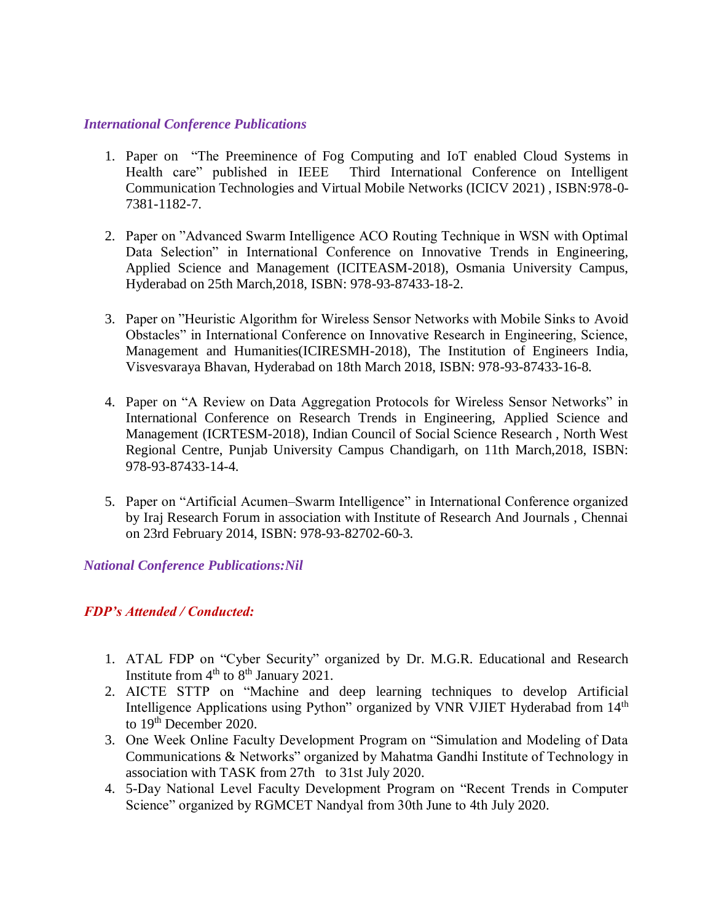#### *International Conference Publications*

- 1. Paper on "The Preeminence of Fog Computing and IoT enabled Cloud Systems in Health care" published in IEEE Third International Conference on Intelligent Communication Technologies and Virtual Mobile Networks (ICICV 2021) , ISBN:978-0- 7381-1182-7.
- 2. Paper on "Advanced Swarm Intelligence ACO Routing Technique in WSN with Optimal Data Selection" in International Conference on Innovative Trends in Engineering, Applied Science and Management (ICITEASM-2018), Osmania University Campus, Hyderabad on 25th March,2018, ISBN: 978-93-87433-18-2.
- 3. Paper on "Heuristic Algorithm for Wireless Sensor Networks with Mobile Sinks to Avoid Obstacles" in International Conference on Innovative Research in Engineering, Science, Management and Humanities(ICIRESMH-2018), The Institution of Engineers India, Visvesvaraya Bhavan, Hyderabad on 18th March 2018, ISBN: 978-93-87433-16-8.
- 4. Paper on "A Review on Data Aggregation Protocols for Wireless Sensor Networks" in International Conference on Research Trends in Engineering, Applied Science and Management (ICRTESM-2018), Indian Council of Social Science Research , North West Regional Centre, Punjab University Campus Chandigarh, on 11th March,2018, ISBN: 978-93-87433-14-4.
- 5. Paper on "Artificial Acumen–Swarm Intelligence" in International Conference organized by Iraj Research Forum in association with Institute of Research And Journals , Chennai on 23rd February 2014, ISBN: 978-93-82702-60-3.

*National Conference Publications:Nil*

### *FDP's Attended / Conducted:*

- 1. ATAL FDP on "Cyber Security" organized by Dr. M.G.R. Educational and Research Institute from  $4<sup>th</sup>$  to  $8<sup>th</sup>$  January 2021.
- 2. AICTE STTP on "Machine and deep learning techniques to develop Artificial Intelligence Applications using Python" organized by VNR VJIET Hyderabad from 14<sup>th</sup> to 19<sup>th</sup> December 2020.
- 3. One Week Online Faculty Development Program on "Simulation and Modeling of Data Communications & Networks" organized by Mahatma Gandhi Institute of Technology in association with TASK from 27th to 31st July 2020.
- 4. 5-Day National Level Faculty Development Program on "Recent Trends in Computer Science" organized by RGMCET Nandyal from 30th June to 4th July 2020.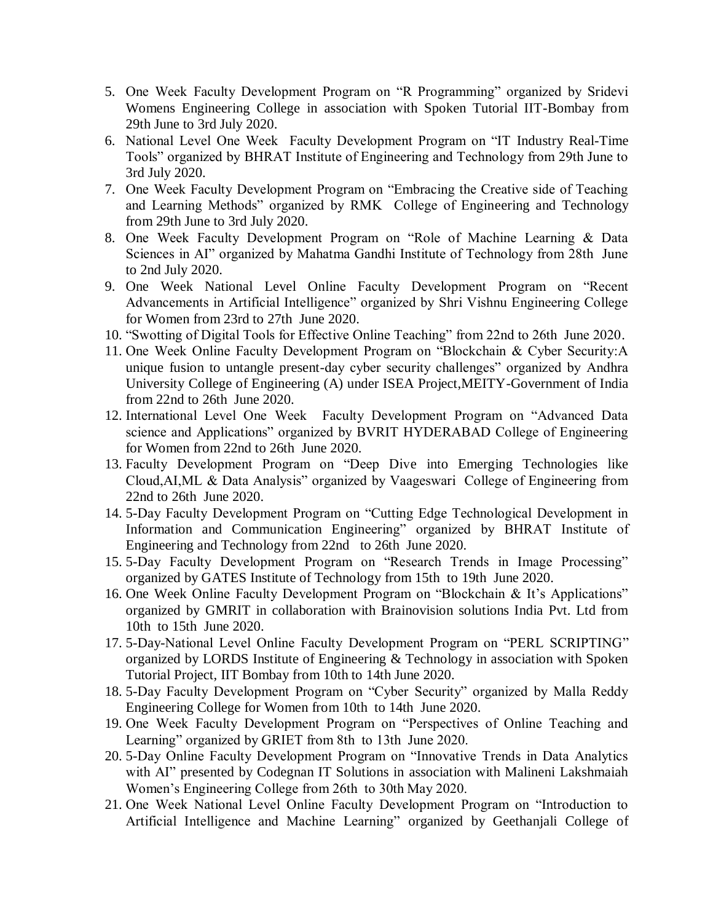- 5. One Week Faculty Development Program on "R Programming" organized by Sridevi Womens Engineering College in association with Spoken Tutorial IIT-Bombay from 29th June to 3rd July 2020.
- 6. National Level One Week Faculty Development Program on "IT Industry Real-Time Tools" organized by BHRAT Institute of Engineering and Technology from 29th June to 3rd July 2020.
- 7. One Week Faculty Development Program on "Embracing the Creative side of Teaching and Learning Methods" organized by RMK College of Engineering and Technology from 29th June to 3rd July 2020.
- 8. One Week Faculty Development Program on "Role of Machine Learning & Data Sciences in AI" organized by Mahatma Gandhi Institute of Technology from 28th June to 2nd July 2020.
- 9. One Week National Level Online Faculty Development Program on "Recent Advancements in Artificial Intelligence" organized by Shri Vishnu Engineering College for Women from 23rd to 27th June 2020.
- 10. "Swotting of Digital Tools for Effective Online Teaching" from 22nd to 26th June 2020.
- 11. One Week Online Faculty Development Program on "Blockchain & Cyber Security:A unique fusion to untangle present-day cyber security challenges" organized by Andhra University College of Engineering (A) under ISEA Project,MEITY-Government of India from 22nd to 26th June 2020.
- 12. International Level One Week Faculty Development Program on "Advanced Data science and Applications" organized by BVRIT HYDERABAD College of Engineering for Women from 22nd to 26th June 2020.
- 13. Faculty Development Program on "Deep Dive into Emerging Technologies like Cloud,AI,ML & Data Analysis" organized by Vaageswari College of Engineering from 22nd to 26th June 2020.
- 14. 5-Day Faculty Development Program on "Cutting Edge Technological Development in Information and Communication Engineering" organized by BHRAT Institute of Engineering and Technology from 22nd to 26th June 2020.
- 15. 5-Day Faculty Development Program on "Research Trends in Image Processing" organized by GATES Institute of Technology from 15th to 19th June 2020.
- 16. One Week Online Faculty Development Program on "Blockchain & It's Applications" organized by GMRIT in collaboration with Brainovision solutions India Pvt. Ltd from 10th to 15th June 2020.
- 17. 5-Day-National Level Online Faculty Development Program on "PERL SCRIPTING" organized by LORDS Institute of Engineering & Technology in association with Spoken Tutorial Project, IIT Bombay from 10th to 14th June 2020.
- 18. 5-Day Faculty Development Program on "Cyber Security" organized by Malla Reddy Engineering College for Women from 10th to 14th June 2020.
- 19. One Week Faculty Development Program on "Perspectives of Online Teaching and Learning" organized by GRIET from 8th to 13th June 2020.
- 20. 5-Day Online Faculty Development Program on "Innovative Trends in Data Analytics with AI" presented by Codegnan IT Solutions in association with Malineni Lakshmaiah Women's Engineering College from 26th to 30th May 2020.
- 21. One Week National Level Online Faculty Development Program on "Introduction to Artificial Intelligence and Machine Learning" organized by Geethanjali College of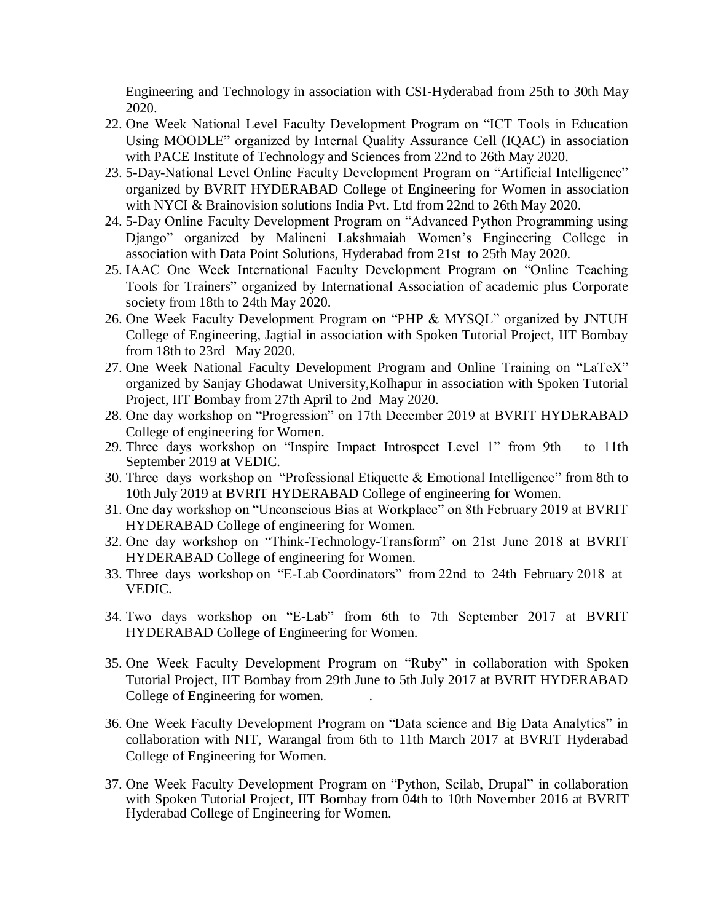Engineering and Technology in association with CSI-Hyderabad from 25th to 30th May 2020.

- 22. One Week National Level Faculty Development Program on "ICT Tools in Education Using MOODLE" organized by Internal Quality Assurance Cell (IQAC) in association with PACE Institute of Technology and Sciences from 22nd to 26th May 2020.
- 23. 5-Day-National Level Online Faculty Development Program on "Artificial Intelligence" organized by BVRIT HYDERABAD College of Engineering for Women in association with NYCI & Brainovision solutions India Pvt. Ltd from 22nd to 26th May 2020.
- 24. 5-Day Online Faculty Development Program on "Advanced Python Programming using Django" organized by Malineni Lakshmaiah Women's Engineering College in association with Data Point Solutions, Hyderabad from 21st to 25th May 2020.
- 25. IAAC One Week International Faculty Development Program on "Online Teaching Tools for Trainers" organized by International Association of academic plus Corporate society from 18th to 24th May 2020.
- 26. One Week Faculty Development Program on "PHP & MYSQL" organized by JNTUH College of Engineering, Jagtial in association with Spoken Tutorial Project, IIT Bombay from 18th to 23rd May 2020.
- 27. One Week National Faculty Development Program and Online Training on "LaTeX" organized by Sanjay Ghodawat University,Kolhapur in association with Spoken Tutorial Project, IIT Bombay from 27th April to 2nd May 2020.
- 28. One day workshop on "Progression" on 17th December 2019 at BVRIT HYDERABAD College of engineering for Women.
- 29. Three days workshop on "Inspire Impact Introspect Level 1" from 9th to 11th September 2019 at VEDIC.
- 30. Three days workshop on "Professional Etiquette & Emotional Intelligence" from 8th to 10th July 2019 at BVRIT HYDERABAD College of engineering for Women.
- 31. One day workshop on "Unconscious Bias at Workplace" on 8th February 2019 at BVRIT HYDERABAD College of engineering for Women.
- 32. One day workshop on "Think-Technology-Transform" on 21st June 2018 at BVRIT HYDERABAD College of engineering for Women.
- 33. Three days workshop on "E-Lab Coordinators" from 22nd to 24th February 2018 at VEDIC.
- 34. Two days workshop on "E-Lab" from 6th to 7th September 2017 at BVRIT HYDERABAD College of Engineering for Women.
- 35. One Week Faculty Development Program on "Ruby" in collaboration with Spoken Tutorial Project, IIT Bombay from 29th June to 5th July 2017 at BVRIT HYDERABAD College of Engineering for women. .
- 36. One Week Faculty Development Program on "Data science and Big Data Analytics" in collaboration with NIT, Warangal from 6th to 11th March 2017 at BVRIT Hyderabad College of Engineering for Women.
- 37. One Week Faculty Development Program on "Python, Scilab, Drupal" in collaboration with Spoken Tutorial Project, IIT Bombay from 04th to 10th November 2016 at BVRIT Hyderabad College of Engineering for Women.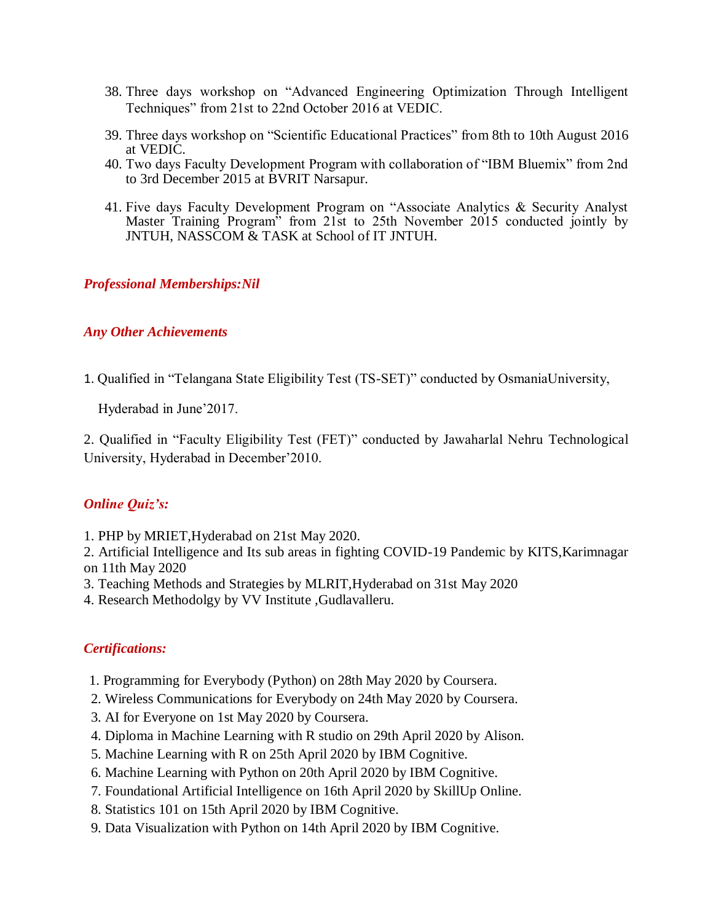- 38. Three days workshop on "Advanced Engineering Optimization Through Intelligent Techniques" from 21st to 22nd October 2016 at VEDIC.
- 39. Three days workshop on "Scientific Educational Practices" from 8th to 10th August 2016 at VEDIC.
- 40. Two days Faculty Development Program with collaboration of "IBM Bluemix" from 2nd to 3rd December 2015 at BVRIT Narsapur.
- 41. Five days Faculty Development Program on "Associate Analytics & Security Analyst Master Training Program" from 21st to 25th November 2015 conducted jointly by JNTUH, NASSCOM & TASK at School of IT JNTUH.

## *Professional Memberships:Nil*

## *Any Other Achievements*

1. Qualified in "Telangana State Eligibility Test (TS-SET)" conducted by OsmaniaUniversity,

Hyderabad in June'2017.

2. Qualified in "Faculty Eligibility Test (FET)" conducted by Jawaharlal Nehru Technological University, Hyderabad in December'2010.

# *Online Quiz's:*

1. PHP by MRIET,Hyderabad on 21st May 2020.

2. Artificial Intelligence and Its sub areas in fighting COVID-19 Pandemic by KITS,Karimnagar on 11th May 2020

- 3. Teaching Methods and Strategies by MLRIT,Hyderabad on 31st May 2020
- 4. Research Methodolgy by VV Institute ,Gudlavalleru.

# *Certifications:*

- 1. Programming for Everybody (Python) on 28th May 2020 by Coursera.
- 2. Wireless Communications for Everybody on 24th May 2020 by Coursera.
- 3. AI for Everyone on 1st May 2020 by Coursera.
- 4. Diploma in Machine Learning with R studio on 29th April 2020 by Alison.
- 5. Machine Learning with R on 25th April 2020 by IBM Cognitive.
- 6. Machine Learning with Python on 20th April 2020 by IBM Cognitive.
- 7. Foundational Artificial Intelligence on 16th April 2020 by SkillUp Online.
- 8. Statistics 101 on 15th April 2020 by IBM Cognitive.
- 9. Data Visualization with Python on 14th April 2020 by IBM Cognitive.